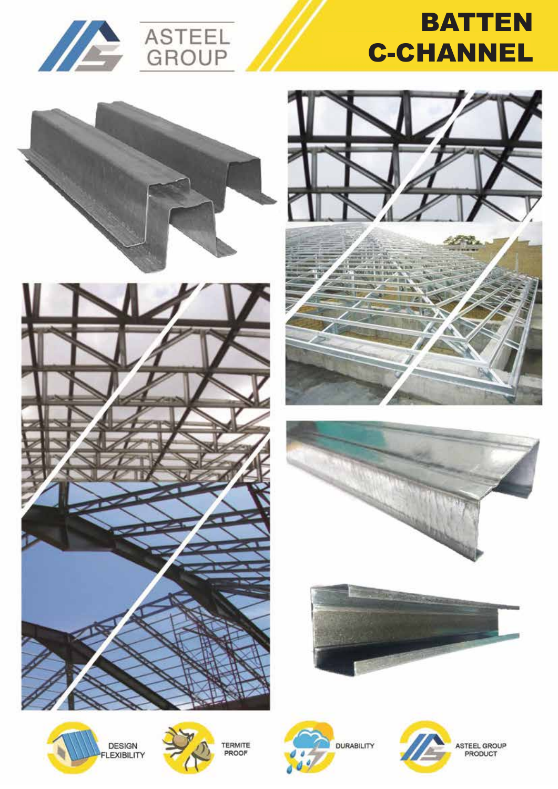



# **BATTEN** C-CHANNEL